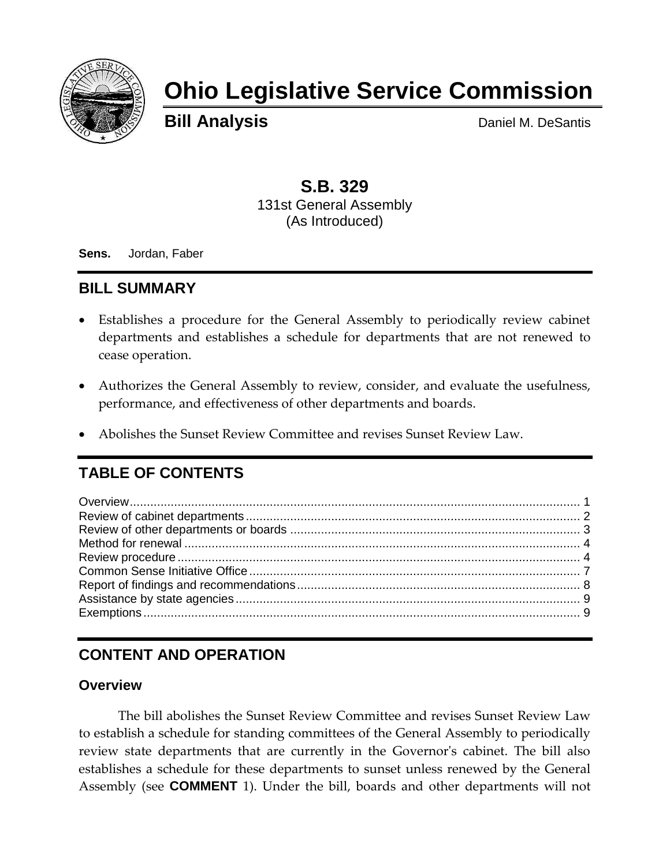

# **Ohio Legislative Service Commission**

**Bill Analysis** Daniel M. DeSantis

## **S.B. 329** 131st General Assembly (As Introduced)

**Sens.** Jordan, Faber

## **BILL SUMMARY**

- Establishes a procedure for the General Assembly to periodically review cabinet departments and establishes a schedule for departments that are not renewed to cease operation.
- Authorizes the General Assembly to review, consider, and evaluate the usefulness, performance, and effectiveness of other departments and boards.
- Abolishes the Sunset Review Committee and revises Sunset Review Law.

# **TABLE OF CONTENTS**

# **CONTENT AND OPERATION**

### <span id="page-0-0"></span>**Overview**

The bill abolishes the Sunset Review Committee and revises Sunset Review Law to establish a schedule for standing committees of the General Assembly to periodically review state departments that are currently in the Governor's cabinet. The bill also establishes a schedule for these departments to sunset unless renewed by the General Assembly (see **COMMENT** 1). Under the bill, boards and other departments will not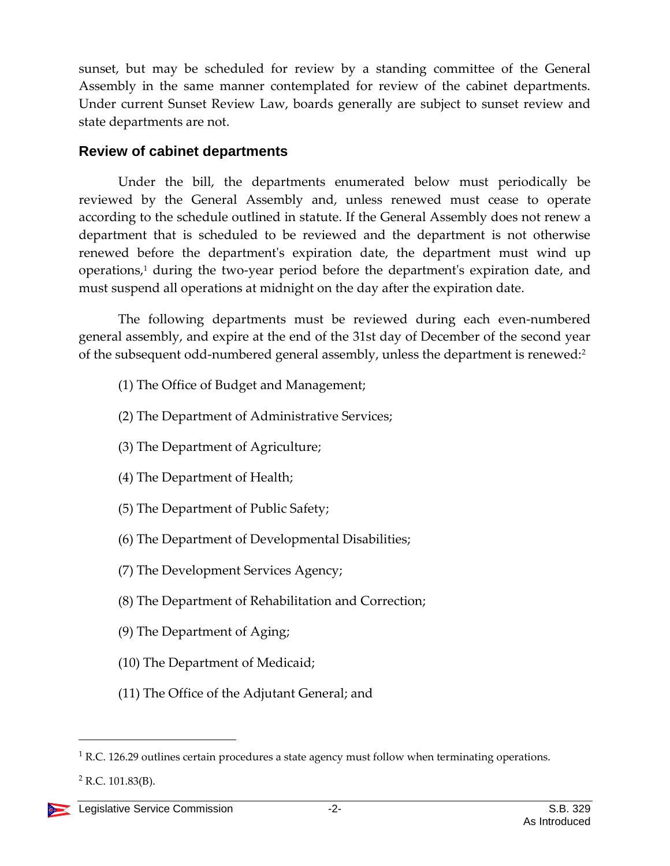sunset, but may be scheduled for review by a standing committee of the General Assembly in the same manner contemplated for review of the cabinet departments. Under current Sunset Review Law, boards generally are subject to sunset review and state departments are not.

#### <span id="page-1-0"></span>**Review of cabinet departments**

Under the bill, the departments enumerated below must periodically be reviewed by the General Assembly and, unless renewed must cease to operate according to the schedule outlined in statute. If the General Assembly does not renew a department that is scheduled to be reviewed and the department is not otherwise renewed before the department's expiration date, the department must wind up operations, <sup>1</sup> during the two-year period before the department's expiration date, and must suspend all operations at midnight on the day after the expiration date.

The following departments must be reviewed during each even-numbered general assembly, and expire at the end of the 31st day of December of the second year of the subsequent odd-numbered general assembly, unless the department is renewed:<sup>2</sup>

- (1) The Office of Budget and Management;
- (2) The Department of Administrative Services;
- (3) The Department of Agriculture;
- (4) The Department of Health;
- (5) The Department of Public Safety;
- (6) The Department of Developmental Disabilities;
- (7) The Development Services Agency;
- (8) The Department of Rehabilitation and Correction;
- (9) The Department of Aging;
- (10) The Department of Medicaid;
- (11) The Office of the Adjutant General; and

 $2$  R.C. 101.83(B).

 $1$  R.C. 126.29 outlines certain procedures a state agency must follow when terminating operations.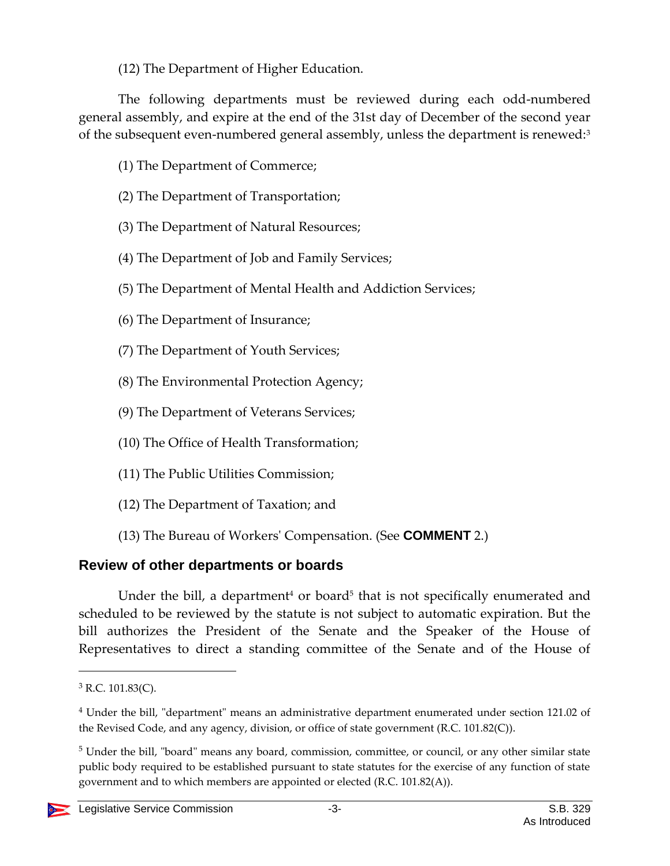(12) The Department of Higher Education.

The following departments must be reviewed during each odd-numbered general assembly, and expire at the end of the 31st day of December of the second year of the subsequent even-numbered general assembly, unless the department is renewed: $3$ 

- (1) The Department of Commerce;
- (2) The Department of Transportation;
- (3) The Department of Natural Resources;
- (4) The Department of Job and Family Services;
- (5) The Department of Mental Health and Addiction Services;
- (6) The Department of Insurance;
- (7) The Department of Youth Services;
- (8) The Environmental Protection Agency;
- (9) The Department of Veterans Services;
- (10) The Office of Health Transformation;
- (11) The Public Utilities Commission;
- (12) The Department of Taxation; and
- (13) The Bureau of Workers' Compensation. (See **COMMENT** 2.)

## <span id="page-2-0"></span>**Review of other departments or boards**

Under the bill, a department<sup>4</sup> or board<sup>5</sup> that is not specifically enumerated and scheduled to be reviewed by the statute is not subject to automatic expiration. But the bill authorizes the President of the Senate and the Speaker of the House of Representatives to direct a standing committee of the Senate and of the House of

<sup>5</sup> Under the bill, "board" means any board, commission, committee, or council, or any other similar state public body required to be established pursuant to state statutes for the exercise of any function of state government and to which members are appointed or elected (R.C. 101.82(A)).



 $3$  R.C. 101.83(C).

<sup>4</sup> Under the bill, "department" means an administrative department enumerated under section 121.02 of the Revised Code, and any agency, division, or office of state government (R.C. 101.82(C)).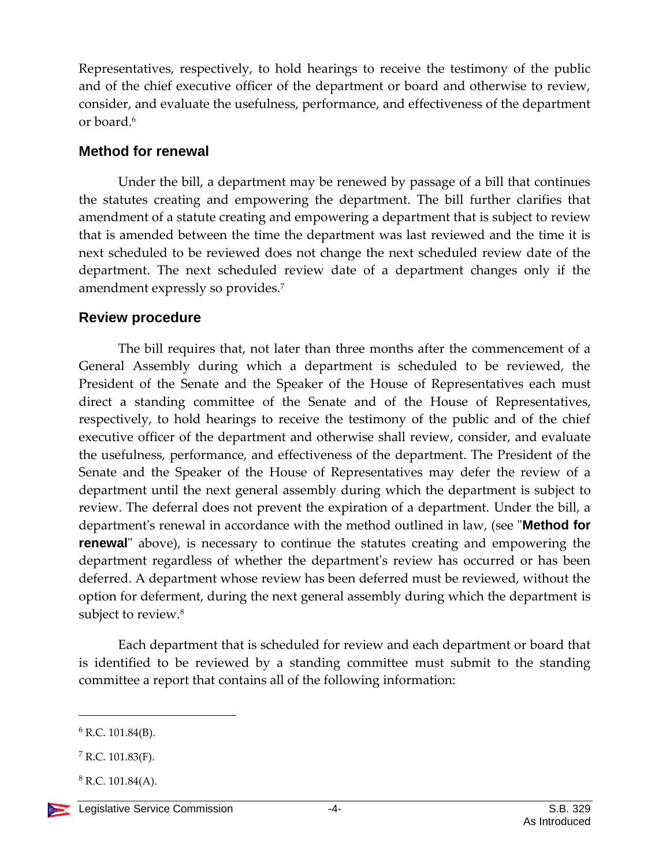Representatives, respectively, to hold hearings to receive the testimony of the public and of the chief executive officer of the department or board and otherwise to review, consider, and evaluate the usefulness, performance, and effectiveness of the department or board.<sup>6</sup>

#### <span id="page-3-0"></span>**Method for renewal**

Under the bill, a department may be renewed by passage of a bill that continues the statutes creating and empowering the department. The bill further clarifies that amendment of a statute creating and empowering a department that is subject to review that is amended between the time the department was last reviewed and the time it is next scheduled to be reviewed does not change the next scheduled review date of the department. The next scheduled review date of a department changes only if the amendment expressly so provides.<sup>7</sup>

#### <span id="page-3-1"></span>**Review procedure**

The bill requires that, not later than three months after the commencement of a General Assembly during which a department is scheduled to be reviewed, the President of the Senate and the Speaker of the House of Representatives each must direct a standing committee of the Senate and of the House of Representatives, respectively, to hold hearings to receive the testimony of the public and of the chief executive officer of the department and otherwise shall review, consider, and evaluate the usefulness, performance, and effectiveness of the department. The President of the Senate and the Speaker of the House of Representatives may defer the review of a department until the next general assembly during which the department is subject to review. The deferral does not prevent the expiration of a department. Under the bill, a department's renewal in accordance with the method outlined in law, (see "**Method for renewal**" above), is necessary to continue the statutes creating and empowering the department regardless of whether the department's review has occurred or has been deferred. A department whose review has been deferred must be reviewed, without the option for deferment, during the next general assembly during which the department is subject to review.<sup>8</sup>

Each department that is scheduled for review and each department or board that is identified to be reviewed by a standing committee must submit to the standing committee a report that contains all of the following information:

 $6$  R.C. 101.84(B).

 $7$  R.C. 101.83(F).

 $8$  R.C. 101.84(A).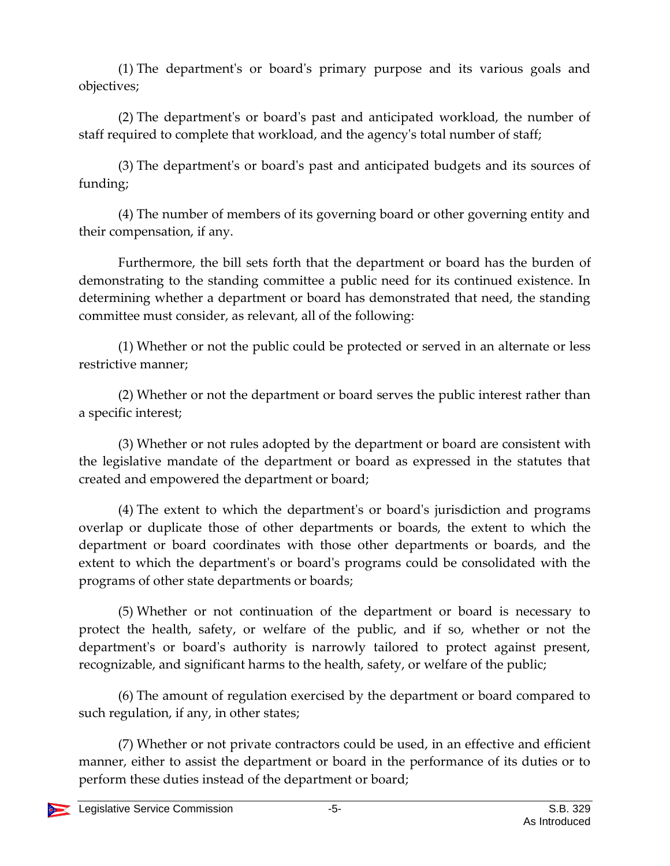(1) The department's or board's primary purpose and its various goals and objectives;

(2) The department's or board's past and anticipated workload, the number of staff required to complete that workload, and the agency's total number of staff;

(3) The department's or board's past and anticipated budgets and its sources of funding;

(4) The number of members of its governing board or other governing entity and their compensation, if any.

Furthermore, the bill sets forth that the department or board has the burden of demonstrating to the standing committee a public need for its continued existence. In determining whether a department or board has demonstrated that need, the standing committee must consider, as relevant, all of the following:

(1) Whether or not the public could be protected or served in an alternate or less restrictive manner;

(2) Whether or not the department or board serves the public interest rather than a specific interest;

(3) Whether or not rules adopted by the department or board are consistent with the legislative mandate of the department or board as expressed in the statutes that created and empowered the department or board;

(4) The extent to which the department's or board's jurisdiction and programs overlap or duplicate those of other departments or boards, the extent to which the department or board coordinates with those other departments or boards, and the extent to which the department's or board's programs could be consolidated with the programs of other state departments or boards;

(5) Whether or not continuation of the department or board is necessary to protect the health, safety, or welfare of the public, and if so, whether or not the department's or board's authority is narrowly tailored to protect against present, recognizable, and significant harms to the health, safety, or welfare of the public;

(6) The amount of regulation exercised by the department or board compared to such regulation, if any, in other states;

(7) Whether or not private contractors could be used, in an effective and efficient manner, either to assist the department or board in the performance of its duties or to perform these duties instead of the department or board;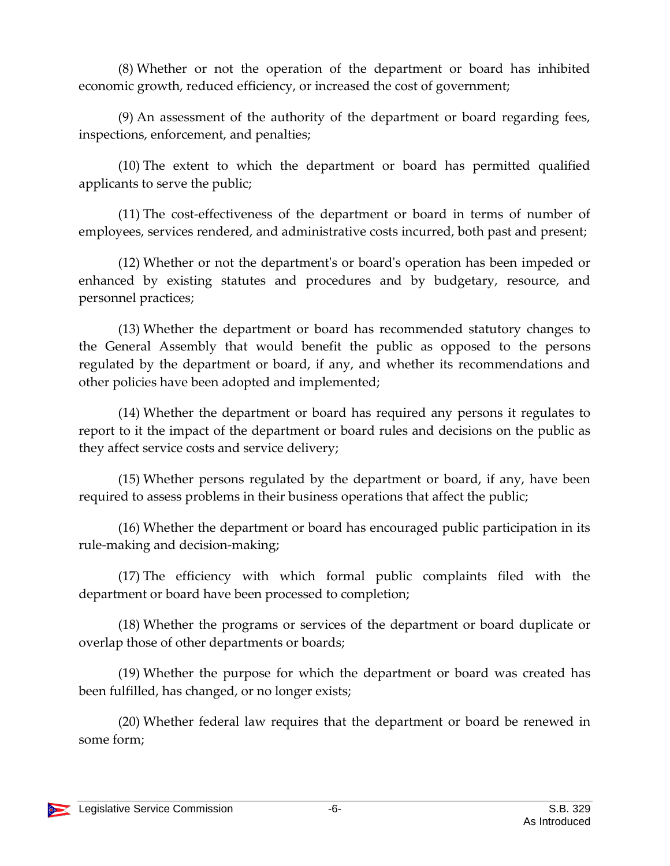(8) Whether or not the operation of the department or board has inhibited economic growth, reduced efficiency, or increased the cost of government;

(9) An assessment of the authority of the department or board regarding fees, inspections, enforcement, and penalties;

(10) The extent to which the department or board has permitted qualified applicants to serve the public;

(11) The cost-effectiveness of the department or board in terms of number of employees, services rendered, and administrative costs incurred, both past and present;

(12) Whether or not the department's or board's operation has been impeded or enhanced by existing statutes and procedures and by budgetary, resource, and personnel practices;

(13) Whether the department or board has recommended statutory changes to the General Assembly that would benefit the public as opposed to the persons regulated by the department or board, if any, and whether its recommendations and other policies have been adopted and implemented;

(14) Whether the department or board has required any persons it regulates to report to it the impact of the department or board rules and decisions on the public as they affect service costs and service delivery;

(15) Whether persons regulated by the department or board, if any, have been required to assess problems in their business operations that affect the public;

(16) Whether the department or board has encouraged public participation in its rule-making and decision-making;

(17) The efficiency with which formal public complaints filed with the department or board have been processed to completion;

(18) Whether the programs or services of the department or board duplicate or overlap those of other departments or boards;

(19) Whether the purpose for which the department or board was created has been fulfilled, has changed, or no longer exists;

(20) Whether federal law requires that the department or board be renewed in some form;

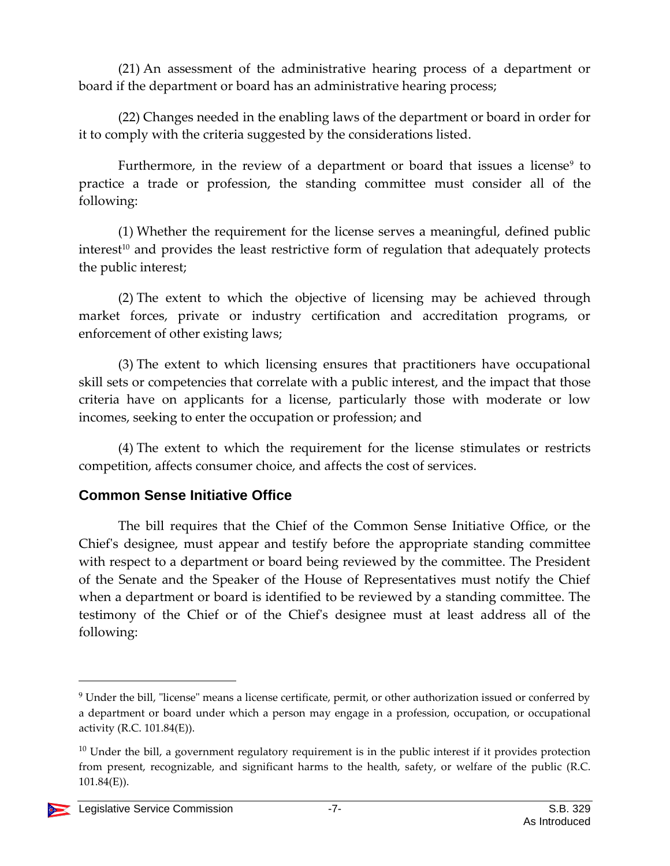(21) An assessment of the administrative hearing process of a department or board if the department or board has an administrative hearing process;

(22) Changes needed in the enabling laws of the department or board in order for it to comply with the criteria suggested by the considerations listed.

Furthermore, in the review of a department or board that issues a license $^{\circ}$  to practice a trade or profession, the standing committee must consider all of the following:

(1) Whether the requirement for the license serves a meaningful, defined public interest<sup>10</sup> and provides the least restrictive form of regulation that adequately protects the public interest;

(2) The extent to which the objective of licensing may be achieved through market forces, private or industry certification and accreditation programs, or enforcement of other existing laws;

(3) The extent to which licensing ensures that practitioners have occupational skill sets or competencies that correlate with a public interest, and the impact that those criteria have on applicants for a license, particularly those with moderate or low incomes, seeking to enter the occupation or profession; and

(4) The extent to which the requirement for the license stimulates or restricts competition, affects consumer choice, and affects the cost of services.

#### <span id="page-6-0"></span>**Common Sense Initiative Office**

The bill requires that the Chief of the Common Sense Initiative Office, or the Chief's designee, must appear and testify before the appropriate standing committee with respect to a department or board being reviewed by the committee. The President of the Senate and the Speaker of the House of Representatives must notify the Chief when a department or board is identified to be reviewed by a standing committee. The testimony of the Chief or of the Chief's designee must at least address all of the following:

 $10$  Under the bill, a government regulatory requirement is in the public interest if it provides protection from present, recognizable, and significant harms to the health, safety, or welfare of the public (R.C. 101.84(E)).



<sup>&</sup>lt;sup>9</sup> Under the bill, "license" means a license certificate, permit, or other authorization issued or conferred by a department or board under which a person may engage in a profession, occupation, or occupational activity (R.C. 101.84(E)).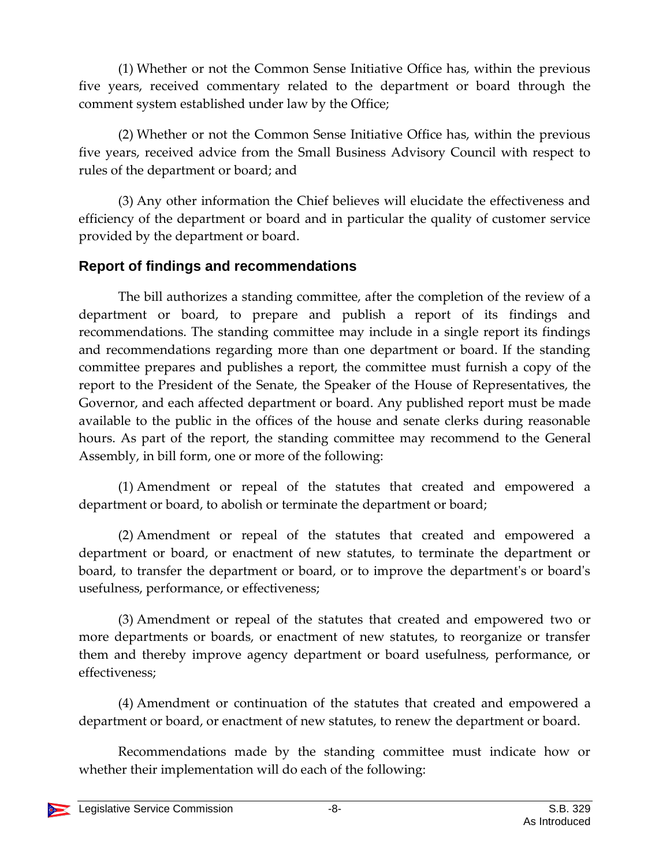(1) Whether or not the Common Sense Initiative Office has, within the previous five years, received commentary related to the department or board through the comment system established under law by the Office;

(2) Whether or not the Common Sense Initiative Office has, within the previous five years, received advice from the Small Business Advisory Council with respect to rules of the department or board; and

(3) Any other information the Chief believes will elucidate the effectiveness and efficiency of the department or board and in particular the quality of customer service provided by the department or board.

#### <span id="page-7-0"></span>**Report of findings and recommendations**

The bill authorizes a standing committee, after the completion of the review of a department or board, to prepare and publish a report of its findings and recommendations. The standing committee may include in a single report its findings and recommendations regarding more than one department or board. If the standing committee prepares and publishes a report, the committee must furnish a copy of the report to the President of the Senate, the Speaker of the House of Representatives, the Governor, and each affected department or board. Any published report must be made available to the public in the offices of the house and senate clerks during reasonable hours. As part of the report, the standing committee may recommend to the General Assembly, in bill form, one or more of the following:

(1) Amendment or repeal of the statutes that created and empowered a department or board, to abolish or terminate the department or board;

(2) Amendment or repeal of the statutes that created and empowered a department or board, or enactment of new statutes, to terminate the department or board, to transfer the department or board, or to improve the department's or board's usefulness, performance, or effectiveness;

(3) Amendment or repeal of the statutes that created and empowered two or more departments or boards, or enactment of new statutes, to reorganize or transfer them and thereby improve agency department or board usefulness, performance, or effectiveness;

(4) Amendment or continuation of the statutes that created and empowered a department or board, or enactment of new statutes, to renew the department or board.

Recommendations made by the standing committee must indicate how or whether their implementation will do each of the following: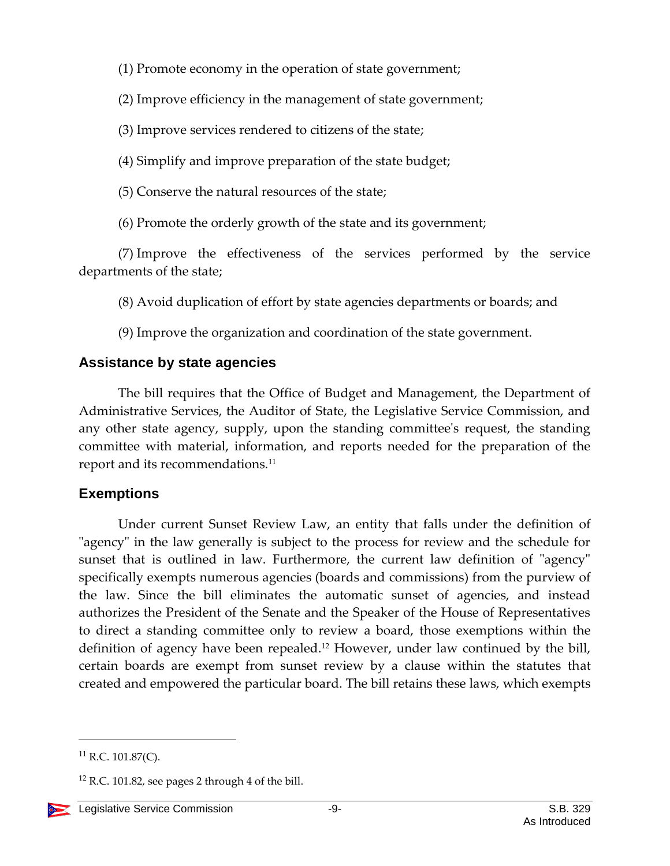(1) Promote economy in the operation of state government;

(2) Improve efficiency in the management of state government;

(3) Improve services rendered to citizens of the state;

(4) Simplify and improve preparation of the state budget;

(5) Conserve the natural resources of the state;

(6) Promote the orderly growth of the state and its government;

(7) Improve the effectiveness of the services performed by the service departments of the state;

(8) Avoid duplication of effort by state agencies departments or boards; and

(9) Improve the organization and coordination of the state government.

## <span id="page-8-0"></span>**Assistance by state agencies**

The bill requires that the Office of Budget and Management, the Department of Administrative Services, the Auditor of State, the Legislative Service Commission, and any other state agency, supply, upon the standing committee's request, the standing committee with material, information, and reports needed for the preparation of the report and its recommendations.<sup>11</sup>

## <span id="page-8-1"></span>**Exemptions**

Under current Sunset Review Law, an entity that falls under the definition of "agency" in the law generally is subject to the process for review and the schedule for sunset that is outlined in law. Furthermore, the current law definition of "agency" specifically exempts numerous agencies (boards and commissions) from the purview of the law. Since the bill eliminates the automatic sunset of agencies, and instead authorizes the President of the Senate and the Speaker of the House of Representatives to direct a standing committee only to review a board, those exemptions within the definition of agency have been repealed.<sup>12</sup> However, under law continued by the bill, certain boards are exempt from sunset review by a clause within the statutes that created and empowered the particular board. The bill retains these laws, which exempts

 $12$  R.C. 101.82, see pages 2 through 4 of the bill.



 $^{11}$  R.C. 101.87(C).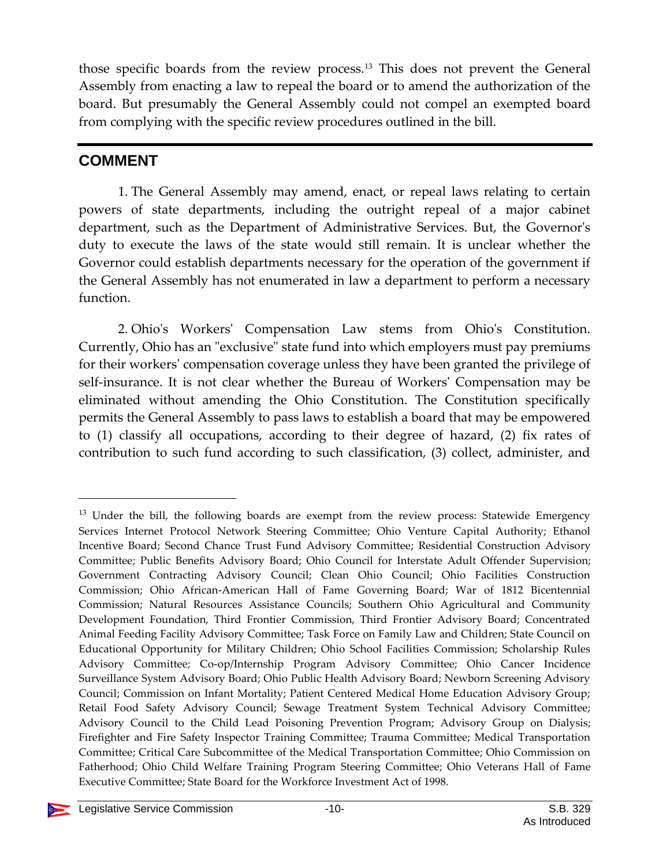those specific boards from the review process.<sup>13</sup> This does not prevent the General Assembly from enacting a law to repeal the board or to amend the authorization of the board. But presumably the General Assembly could not compel an exempted board from complying with the specific review procedures outlined in the bill.

## **COMMENT**

 $\overline{a}$ 

1. The General Assembly may amend, enact, or repeal laws relating to certain powers of state departments, including the outright repeal of a major cabinet department, such as the Department of Administrative Services. But, the Governor's duty to execute the laws of the state would still remain. It is unclear whether the Governor could establish departments necessary for the operation of the government if the General Assembly has not enumerated in law a department to perform a necessary function.

2. Ohio's Workers' Compensation Law stems from Ohio's Constitution. Currently, Ohio has an "exclusive" state fund into which employers must pay premiums for their workers' compensation coverage unless they have been granted the privilege of self-insurance. It is not clear whether the Bureau of Workers' Compensation may be eliminated without amending the Ohio Constitution. The Constitution specifically permits the General Assembly to pass laws to establish a board that may be empowered to (1) classify all occupations, according to their degree of hazard, (2) fix rates of contribution to such fund according to such classification, (3) collect, administer, and

<sup>&</sup>lt;sup>13</sup> Under the bill, the following boards are exempt from the review process: Statewide Emergency Services Internet Protocol Network Steering Committee; Ohio Venture Capital Authority; Ethanol Incentive Board; Second Chance Trust Fund Advisory Committee; Residential Construction Advisory Committee; Public Benefits Advisory Board; Ohio Council for Interstate Adult Offender Supervision; Government Contracting Advisory Council; Clean Ohio Council; Ohio Facilities Construction Commission; Ohio African-American Hall of Fame Governing Board; War of 1812 Bicentennial Commission; Natural Resources Assistance Councils; Southern Ohio Agricultural and Community Development Foundation, Third Frontier Commission, Third Frontier Advisory Board; Concentrated Animal Feeding Facility Advisory Committee; Task Force on Family Law and Children; State Council on Educational Opportunity for Military Children; Ohio School Facilities Commission; Scholarship Rules Advisory Committee; Co-op/Internship Program Advisory Committee; Ohio Cancer Incidence Surveillance System Advisory Board; Ohio Public Health Advisory Board; Newborn Screening Advisory Council; Commission on Infant Mortality; Patient Centered Medical Home Education Advisory Group; Retail Food Safety Advisory Council; Sewage Treatment System Technical Advisory Committee; Advisory Council to the Child Lead Poisoning Prevention Program; Advisory Group on Dialysis; Firefighter and Fire Safety Inspector Training Committee; Trauma Committee; Medical Transportation Committee; Critical Care Subcommittee of the Medical Transportation Committee; Ohio Commission on Fatherhood; Ohio Child Welfare Training Program Steering Committee; Ohio Veterans Hall of Fame Executive Committee; State Board for the Workforce Investment Act of 1998.